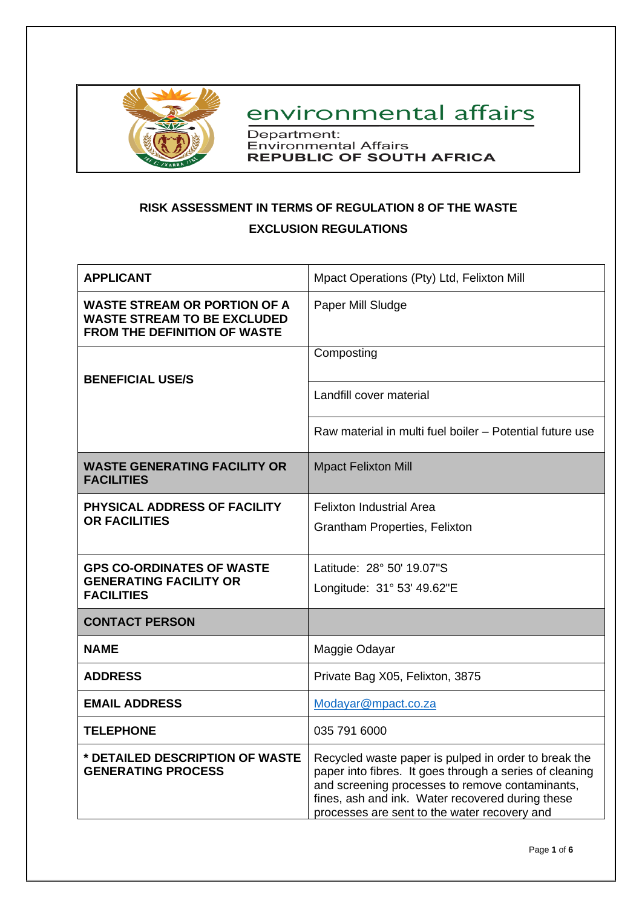

environmental affairs

Department: Environmental Affairs<br>REPUBLIC OF SOUTH AFRICA

# **RISK ASSESSMENT IN TERMS OF REGULATION 8 OF THE WASTE EXCLUSION REGULATIONS**

| <b>APPLICANT</b>                                                                                                 | Mpact Operations (Pty) Ltd, Felixton Mill                                                                                                                                                                                                                              |
|------------------------------------------------------------------------------------------------------------------|------------------------------------------------------------------------------------------------------------------------------------------------------------------------------------------------------------------------------------------------------------------------|
| <b>WASTE STREAM OR PORTION OF A</b><br><b>WASTE STREAM TO BE EXCLUDED</b><br><b>FROM THE DEFINITION OF WASTE</b> | Paper Mill Sludge                                                                                                                                                                                                                                                      |
|                                                                                                                  | Composting                                                                                                                                                                                                                                                             |
| <b>BENEFICIAL USE/S</b>                                                                                          | Landfill cover material                                                                                                                                                                                                                                                |
|                                                                                                                  | Raw material in multi fuel boiler - Potential future use                                                                                                                                                                                                               |
| <b>WASTE GENERATING FACILITY OR</b><br><b>FACILITIES</b>                                                         | <b>Mpact Felixton Mill</b>                                                                                                                                                                                                                                             |
| PHYSICAL ADDRESS OF FACILITY                                                                                     | <b>Felixton Industrial Area</b>                                                                                                                                                                                                                                        |
| <b>OR FACILITIES</b>                                                                                             | Grantham Properties, Felixton                                                                                                                                                                                                                                          |
| <b>GPS CO-ORDINATES OF WASTE</b>                                                                                 | Latitude: 28° 50' 19.07"S                                                                                                                                                                                                                                              |
| <b>GENERATING FACILITY OR</b><br><b>FACILITIES</b>                                                               | Longitude: 31° 53' 49.62"E                                                                                                                                                                                                                                             |
| <b>CONTACT PERSON</b>                                                                                            |                                                                                                                                                                                                                                                                        |
| <b>NAME</b>                                                                                                      | Maggie Odayar                                                                                                                                                                                                                                                          |
| <b>ADDRESS</b>                                                                                                   | Private Bag X05, Felixton, 3875                                                                                                                                                                                                                                        |
| <b>EMAIL ADDRESS</b>                                                                                             | Modayar@mpact.co.za                                                                                                                                                                                                                                                    |
| <b>TELEPHONE</b>                                                                                                 | 035 791 6000                                                                                                                                                                                                                                                           |
| * DETAILED DESCRIPTION OF WASTE<br><b>GENERATING PROCESS</b>                                                     | Recycled waste paper is pulped in order to break the<br>paper into fibres. It goes through a series of cleaning<br>and screening processes to remove contaminants,<br>fines, ash and ink. Water recovered during these<br>processes are sent to the water recovery and |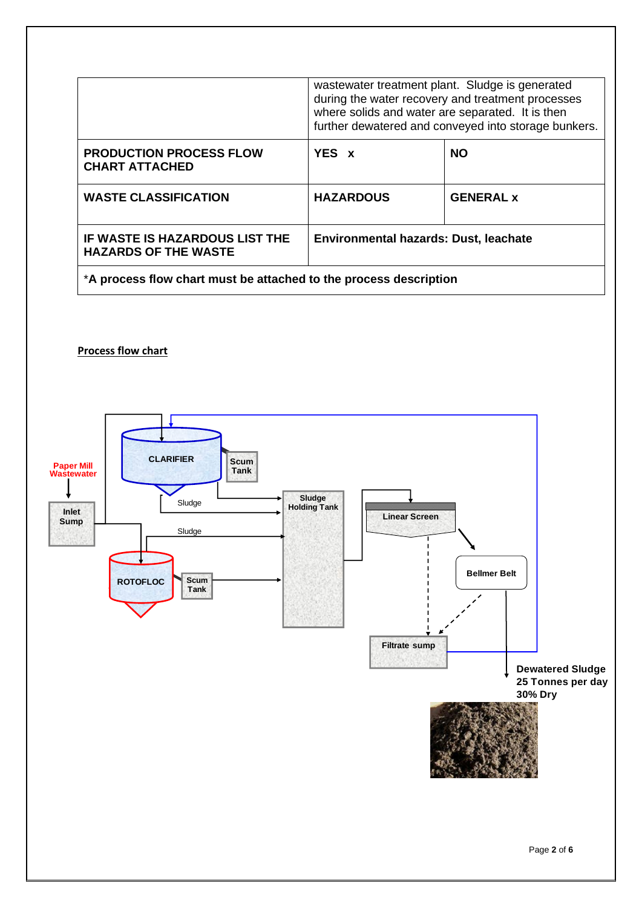|                                                               | wastewater treatment plant. Sludge is generated<br>during the water recovery and treatment processes<br>where solids and water are separated. It is then<br>further dewatered and conveyed into storage bunkers. |                  |  |  |
|---------------------------------------------------------------|------------------------------------------------------------------------------------------------------------------------------------------------------------------------------------------------------------------|------------------|--|--|
| <b>PRODUCTION PROCESS FLOW</b><br><b>CHART ATTACHED</b>       | YES x                                                                                                                                                                                                            | <b>NO</b>        |  |  |
| <b>WASTE CLASSIFICATION</b>                                   | <b>HAZARDOUS</b>                                                                                                                                                                                                 | <b>GENERAL x</b> |  |  |
| IF WASTE IS HAZARDOUS LIST THE<br><b>HAZARDS OF THE WASTE</b> | Environmental hazards: Dust, leachate                                                                                                                                                                            |                  |  |  |

\***A process flow chart must be attached to the process description**

## **Process flow chart**

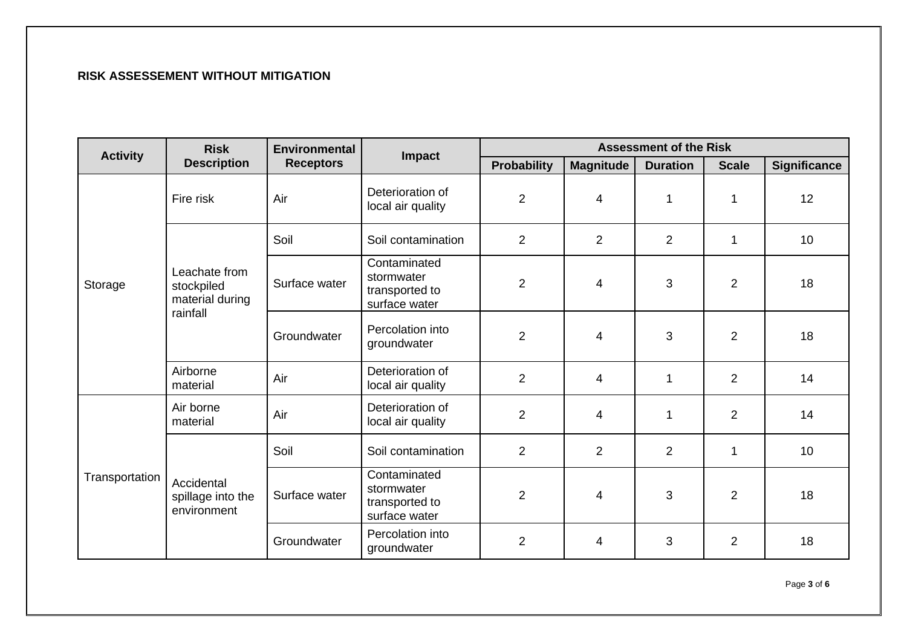## **RISK ASSESSEMENT WITHOUT MITIGATION**

| <b>Activity</b> | <b>Risk</b>                                                | <b>Environmental</b> | Impact                                                        |                    | <b>Assessment of the Risk</b> |                 |                |                     |
|-----------------|------------------------------------------------------------|----------------------|---------------------------------------------------------------|--------------------|-------------------------------|-----------------|----------------|---------------------|
|                 | <b>Description</b>                                         | <b>Receptors</b>     |                                                               | <b>Probability</b> | <b>Magnitude</b>              | <b>Duration</b> | <b>Scale</b>   | <b>Significance</b> |
|                 | Fire risk                                                  | Air                  | Deterioration of<br>local air quality                         | $\overline{2}$     | 4                             | 1               | $\mathbf{1}$   | 12                  |
|                 |                                                            | Soil                 | Soil contamination                                            | $\overline{2}$     | $\overline{2}$                | $\overline{2}$  | $\mathbf 1$    | 10                  |
| Storage         | Leachate from<br>stockpiled<br>material during<br>rainfall | Surface water        | Contaminated<br>stormwater<br>transported to<br>surface water | $\overline{2}$     | 4                             | 3               | $\overline{2}$ | 18                  |
|                 |                                                            | Groundwater          | Percolation into<br>groundwater                               | $\overline{2}$     | 4                             | 3               | $\overline{2}$ | 18                  |
|                 | Airborne<br>material                                       | Air                  | Deterioration of<br>local air quality                         | 2                  | 4                             | 1               | $\overline{2}$ | 14                  |
| Transportation  | Air borne<br>material                                      | Air                  | Deterioration of<br>local air quality                         | $\overline{2}$     | 4                             | 1               | $\overline{2}$ | 14                  |
|                 | Accidental<br>spillage into the<br>environment             | Soil                 | Soil contamination                                            | 2                  | $\overline{2}$                | $\overline{2}$  | $\mathbf{1}$   | 10                  |
|                 |                                                            | Surface water        | Contaminated<br>stormwater<br>transported to<br>surface water | $\overline{2}$     | 4                             | 3               | $\overline{2}$ | 18                  |
|                 |                                                            | Groundwater          | Percolation into<br>groundwater                               | $\overline{2}$     | 4                             | 3               | $\overline{2}$ | 18                  |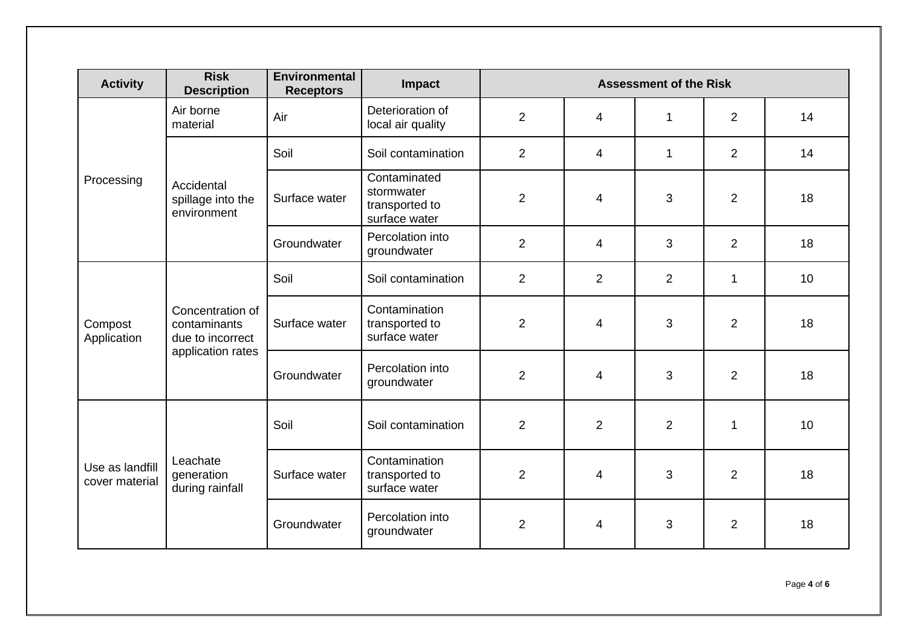| <b>Activity</b>                   | <b>Risk</b><br><b>Description</b>                    | <b>Environmental</b><br><b>Receptors</b> | Impact                                                        | <b>Assessment of the Risk</b> |                          |                |                |    |
|-----------------------------------|------------------------------------------------------|------------------------------------------|---------------------------------------------------------------|-------------------------------|--------------------------|----------------|----------------|----|
|                                   | Air borne<br>material                                | Air                                      | Deterioration of<br>local air quality                         | $\overline{2}$                | 4                        | 1              | 2              | 14 |
|                                   |                                                      | Soil                                     | Soil contamination                                            | $\overline{2}$                | $\overline{\mathbf{4}}$  | $\mathbf{1}$   | $\overline{2}$ | 14 |
| Processing                        | Accidental<br>spillage into the<br>environment       | Surface water                            | Contaminated<br>stormwater<br>transported to<br>surface water | $\overline{2}$                | 4                        | 3              | $\overline{2}$ | 18 |
|                                   |                                                      | Groundwater                              | Percolation into<br>groundwater                               | $\overline{2}$                | $\overline{\mathcal{A}}$ | 3              | $\overline{2}$ | 18 |
| Compost<br>Application            | Concentration of<br>contaminants<br>due to incorrect | Soil                                     | Soil contamination                                            | $\overline{2}$                | $\overline{2}$           | $\overline{2}$ | $\mathbf 1$    | 10 |
|                                   |                                                      | Surface water                            | Contamination<br>transported to<br>surface water              | $\overline{2}$                | 4                        | 3              | $\overline{2}$ | 18 |
|                                   | application rates                                    | Groundwater                              | Percolation into<br>groundwater                               | $\overline{2}$                | 4                        | 3              | $\overline{2}$ | 18 |
| Use as landfill<br>cover material | Leachate<br>generation<br>during rainfall            | Soil                                     | Soil contamination                                            | $\overline{2}$                | $\overline{2}$           | $\overline{2}$ | $\mathbf{1}$   | 10 |
|                                   |                                                      | Surface water                            | Contamination<br>transported to<br>surface water              | $\overline{2}$                | 4                        | 3              | $\overline{2}$ | 18 |
|                                   |                                                      | Groundwater                              | Percolation into<br>groundwater                               | $\overline{2}$                | 4                        | 3              | $\overline{2}$ | 18 |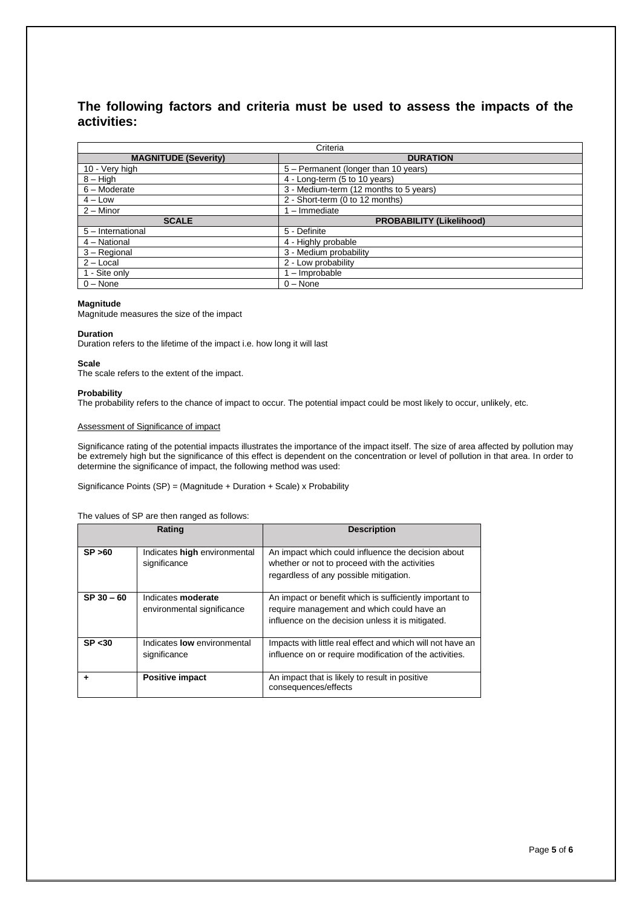### **The following factors and criteria must be used to assess the impacts of the activities:**

| Criteria                    |                                        |  |  |  |
|-----------------------------|----------------------------------------|--|--|--|
| <b>MAGNITUDE (Severity)</b> | <b>DURATION</b>                        |  |  |  |
| 10 - Very high              | 5 - Permanent (longer than 10 years)   |  |  |  |
| $8 - High$                  | 4 - Long-term (5 to 10 years)          |  |  |  |
| $6 -$ Moderate              | 3 - Medium-term (12 months to 5 years) |  |  |  |
| $4 - Low$                   | 2 - Short-term (0 to 12 months)        |  |  |  |
| $2 -$ Minor                 | 1 - Immediate                          |  |  |  |
| <b>SCALE</b>                | <b>PROBABILITY (Likelihood)</b>        |  |  |  |
| 5 - International           | 5 - Definite                           |  |  |  |
| 4 - National                | 4 - Highly probable                    |  |  |  |
| 3 - Regional                | 3 - Medium probability                 |  |  |  |
| $2 -$ Local                 | 2 - Low probability                    |  |  |  |
| 1 - Site only               | - Improbable                           |  |  |  |
| $0 - None$                  | $0 - None$                             |  |  |  |

#### **Magnitude**

Magnitude measures the size of the impact

#### **Duration**

Duration refers to the lifetime of the impact i.e. how long it will last

#### **Scale**

The scale refers to the extent of the impact.

#### **Probability**

The probability refers to the chance of impact to occur. The potential impact could be most likely to occur, unlikely, etc.

#### Assessment of Significance of impact

Significance rating of the potential impacts illustrates the importance of the impact itself. The size of area affected by pollution may be extremely high but the significance of this effect is dependent on the concentration or level of pollution in that area. In order to determine the significance of impact, the following method was used:

Significance Points (SP) = (Magnitude + Duration + Scale) x Probability

#### The values of SP are then ranged as follows:

|              | Rating                                                  | <b>Description</b>                                                                                                                                         |
|--------------|---------------------------------------------------------|------------------------------------------------------------------------------------------------------------------------------------------------------------|
| SP > 60      | Indicates high environmental<br>significance            | An impact which could influence the decision about<br>whether or not to proceed with the activities<br>regardless of any possible mitigation.              |
| $SP 30 - 60$ | Indicates <b>moderate</b><br>environmental significance | An impact or benefit which is sufficiently important to<br>require management and which could have an<br>influence on the decision unless it is mitigated. |
| SP < 30      | Indicates <b>low</b> environmental<br>significance      | Impacts with little real effect and which will not have an<br>influence on or require modification of the activities.                                      |
|              | <b>Positive impact</b>                                  | An impact that is likely to result in positive<br>consequences/effects                                                                                     |